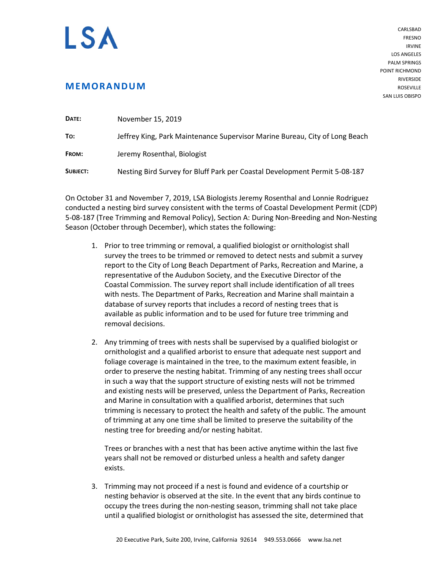## I SA

**MEMORANDUM**

CARLSBAD FRESNO IRVINE LOS ANGELES PALM SPRINGS POINT RICHMOND RIVERSIDE **ROSEVILLE** SAN LUIS OBISPO

| DATE:    | November 15, 2019                                                           |
|----------|-----------------------------------------------------------------------------|
| To:      | Jeffrey King, Park Maintenance Supervisor Marine Bureau, City of Long Beach |
| FROM:    | Jeremy Rosenthal, Biologist                                                 |
| SUBJECT: | Nesting Bird Survey for Bluff Park per Coastal Development Permit 5-08-187  |

On October 31 and November 7, 2019, LSA Biologists Jeremy Rosenthal and Lonnie Rodriguez conducted a nesting bird survey consistent with the terms of Coastal Development Permit (CDP) 5-08-187 (Tree Trimming and Removal Policy), Section A: During Non-Breeding and Non-Nesting Season (October through December), which states the following:

- 1. Prior to tree trimming or removal, a qualified biologist or ornithologist shall survey the trees to be trimmed or removed to detect nests and submit a survey report to the City of Long Beach Department of Parks, Recreation and Marine, a representative of the Audubon Society, and the Executive Director of the Coastal Commission. The survey report shall include identification of all trees with nests. The Department of Parks, Recreation and Marine shall maintain a database of survey reports that includes a record of nesting trees that is available as public information and to be used for future tree trimming and removal decisions.
- 2. Any trimming of trees with nests shall be supervised by a qualified biologist or ornithologist and a qualified arborist to ensure that adequate nest support and foliage coverage is maintained in the tree, to the maximum extent feasible, in order to preserve the nesting habitat. Trimming of any nesting trees shall occur in such a way that the support structure of existing nests will not be trimmed and existing nests will be preserved, unless the Department of Parks, Recreation and Marine in consultation with a qualified arborist, determines that such trimming is necessary to protect the health and safety of the public. The amount of trimming at any one time shall be limited to preserve the suitability of the nesting tree for breeding and/or nesting habitat.

Trees or branches with a nest that has been active anytime within the last five years shall not be removed or disturbed unless a health and safety danger exists.

3. Trimming may not proceed if a nest is found and evidence of a courtship or nesting behavior is observed at the site. In the event that any birds continue to occupy the trees during the non-nesting season, trimming shall not take place until a qualified biologist or ornithologist has assessed the site, determined that